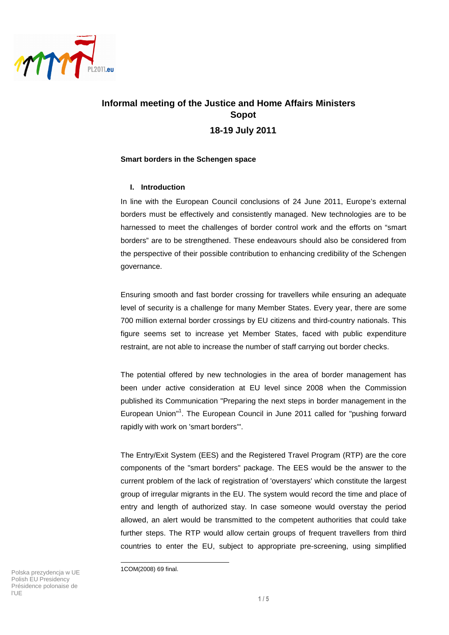

# **Informal meeting of the Justice and Home Affairs Ministers Sopot 18-19 July 2011**

## **Smart borders in the Schengen space**

## **I. Introduction**

In line with the European Council conclusions of 24 June 2011, Europe's external borders must be effectively and consistently managed. New technologies are to be harnessed to meet the challenges of border control work and the efforts on "smart borders" are to be strengthened. These endeavours should also be considered from the perspective of their possible contribution to enhancing credibility of the Schengen governance.

Ensuring smooth and fast border crossing for travellers while ensuring an adequate level of security is a challenge for many Member States. Every year, there are some 700 million external border crossings by EU citizens and third-country nationals. This figure seems set to increase yet Member States, faced with public expenditure restraint, are not able to increase the number of staff carrying out border checks.

The potential offered by new technologies in the area of border management has been under active consideration at EU level since 2008 when the Commission published its Communication "Preparing the next steps in border management in the European Union"<sup>1</sup>. The European Council in June 2011 called for "pushing forward rapidly with work on 'smart borders'".

The Entry/Exit System (EES) and the Registered Travel Program (RTP) are the core components of the "smart borders" package. The EES would be the answer to the current problem of the lack of registration of 'overstayers' which constitute the largest group of irregular migrants in the EU. The system would record the time and place of entry and length of authorized stay. In case someone would overstay the period allowed, an alert would be transmitted to the competent authorities that could take further steps. The RTP would allow certain groups of frequent travellers from third countries to enter the EU, subject to appropriate pre-screening, using simplified

Polska prezydencja w UE Polish EU Presidency Présidence polonaise de l'UE

l

<sup>1</sup>COM(2008) 69 final.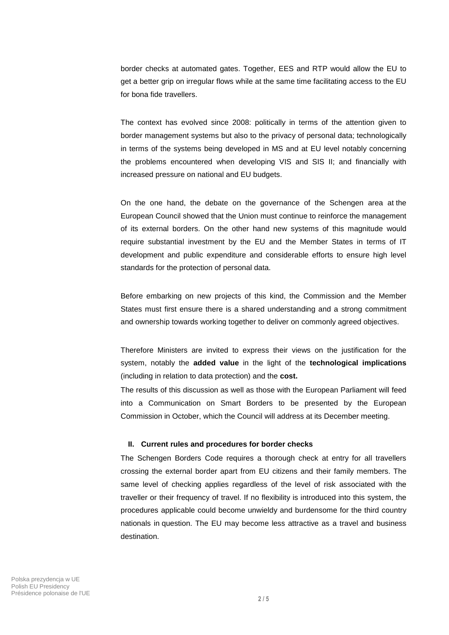border checks at automated gates. Together, EES and RTP would allow the EU to get a better grip on irregular flows while at the same time facilitating access to the EU for bona fide travellers.

The context has evolved since 2008: politically in terms of the attention given to border management systems but also to the privacy of personal data; technologically in terms of the systems being developed in MS and at EU level notably concerning the problems encountered when developing VIS and SIS II; and financially with increased pressure on national and EU budgets.

On the one hand, the debate on the governance of the Schengen area at the European Council showed that the Union must continue to reinforce the management of its external borders. On the other hand new systems of this magnitude would require substantial investment by the EU and the Member States in terms of IT development and public expenditure and considerable efforts to ensure high level standards for the protection of personal data.

Before embarking on new projects of this kind, the Commission and the Member States must first ensure there is a shared understanding and a strong commitment and ownership towards working together to deliver on commonly agreed objectives.

Therefore Ministers are invited to express their views on the justification for the system, notably the **added value** in the light of the **technological implications** (including in relation to data protection) and the **cost.** 

The results of this discussion as well as those with the European Parliament will feed into a Communication on Smart Borders to be presented by the European Commission in October, which the Council will address at its December meeting.

#### **II. Current rules and procedures for border checks**

The Schengen Borders Code requires a thorough check at entry for all travellers crossing the external border apart from EU citizens and their family members. The same level of checking applies regardless of the level of risk associated with the traveller or their frequency of travel. If no flexibility is introduced into this system, the procedures applicable could become unwieldy and burdensome for the third country nationals in question. The EU may become less attractive as a travel and business destination.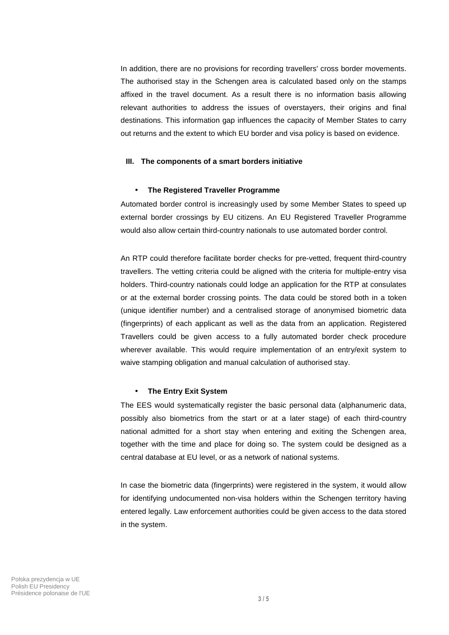In addition, there are no provisions for recording travellers' cross border movements. The authorised stay in the Schengen area is calculated based only on the stamps affixed in the travel document. As a result there is no information basis allowing relevant authorities to address the issues of overstayers, their origins and final destinations. This information gap influences the capacity of Member States to carry out returns and the extent to which EU border and visa policy is based on evidence.

#### **III. The components of a smart borders initiative**

#### • **The Registered Traveller Programme**

Automated border control is increasingly used by some Member States to speed up external border crossings by EU citizens. An EU Registered Traveller Programme would also allow certain third-country nationals to use automated border control.

An RTP could therefore facilitate border checks for pre-vetted, frequent third-country travellers. The vetting criteria could be aligned with the criteria for multiple-entry visa holders. Third-country nationals could lodge an application for the RTP at consulates or at the external border crossing points. The data could be stored both in a token (unique identifier number) and a centralised storage of anonymised biometric data (fingerprints) of each applicant as well as the data from an application. Registered Travellers could be given access to a fully automated border check procedure wherever available. This would require implementation of an entry/exit system to waive stamping obligation and manual calculation of authorised stay.

#### • **The Entry Exit System**

The EES would systematically register the basic personal data (alphanumeric data, possibly also biometrics from the start or at a later stage) of each third-country national admitted for a short stay when entering and exiting the Schengen area, together with the time and place for doing so. The system could be designed as a central database at EU level, or as a network of national systems.

In case the biometric data (fingerprints) were registered in the system, it would allow for identifying undocumented non-visa holders within the Schengen territory having entered legally. Law enforcement authorities could be given access to the data stored in the system.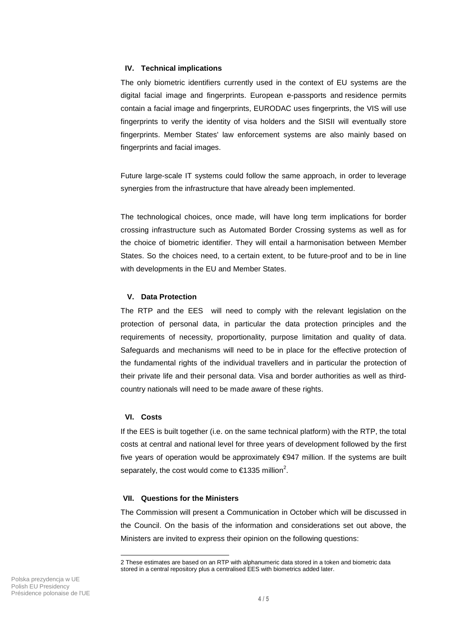### **IV. Technical implications**

The only biometric identifiers currently used in the context of EU systems are the digital facial image and fingerprints. European e-passports and residence permits contain a facial image and fingerprints, EURODAC uses fingerprints, the VIS will use fingerprints to verify the identity of visa holders and the SISII will eventually store fingerprints. Member States' law enforcement systems are also mainly based on fingerprints and facial images.

Future large-scale IT systems could follow the same approach, in order to leverage synergies from the infrastructure that have already been implemented.

The technological choices, once made, will have long term implications for border crossing infrastructure such as Automated Border Crossing systems as well as for the choice of biometric identifier. They will entail a harmonisation between Member States. So the choices need, to a certain extent, to be future-proof and to be in line with developments in the EU and Member States.

## **V. Data Protection**

The RTP and the EES will need to comply with the relevant legislation on the protection of personal data, in particular the data protection principles and the requirements of necessity, proportionality, purpose limitation and quality of data. Safeguards and mechanisms will need to be in place for the effective protection of the fundamental rights of the individual travellers and in particular the protection of their private life and their personal data. Visa and border authorities as well as thirdcountry nationals will need to be made aware of these rights.

### **VI. Costs**

-

If the EES is built together (i.e. on the same technical platform) with the RTP, the total costs at central and national level for three years of development followed by the first five years of operation would be approximately €947 million. If the systems are built separately, the cost would come to  $\in$ 1335 million<sup>2</sup>.

### **VII. Questions for the Ministers**

The Commission will present a Communication in October which will be discussed in the Council. On the basis of the information and considerations set out above, the Ministers are invited to express their opinion on the following questions:

<sup>2</sup> These estimates are based on an RTP with alphanumeric data stored in a token and biometric data stored in a central repository plus a centralised EES with biometrics added later.